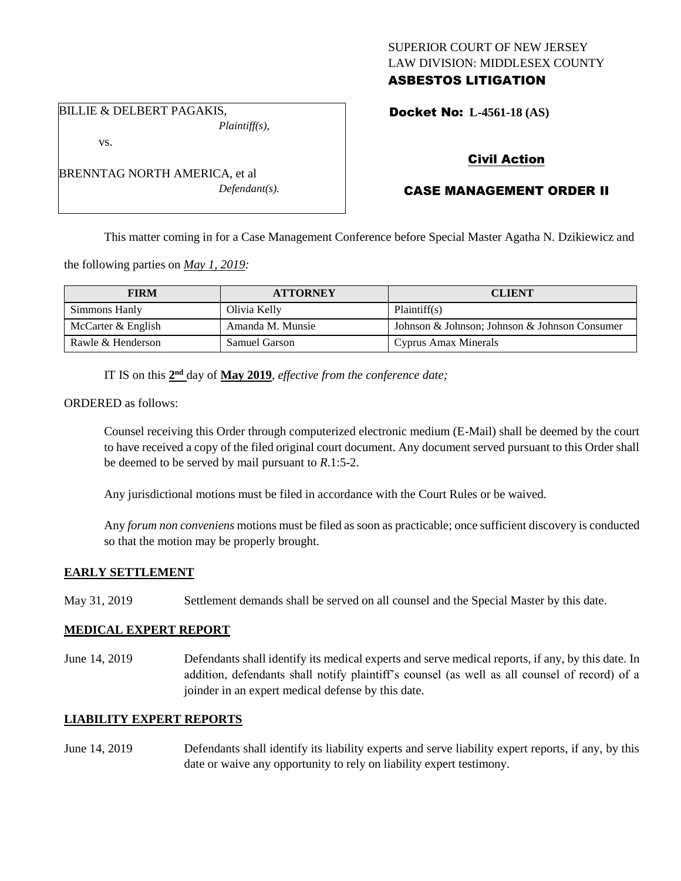### SUPERIOR COURT OF NEW JERSEY LAW DIVISION: MIDDLESEX COUNTY ASBESTOS LITIGATION

BILLIE & DELBERT PAGAKIS, *Plaintiff(s),*

vs.

BRENNTAG NORTH AMERICA, et al *Defendant(s).* Docket No: **L-4561-18 (AS)** 

## Civil Action

# CASE MANAGEMENT ORDER II

This matter coming in for a Case Management Conference before Special Master Agatha N. Dzikiewicz and

the following parties on *May 1, 2019:*

| <b>FIRM</b>        | <b>ATTORNEY</b>      | <b>CLIENT</b>                                 |
|--------------------|----------------------|-----------------------------------------------|
| Simmons Hanly      | Olivia Kelly         | Plaintiff(s)                                  |
| McCarter & English | Amanda M. Munsie     | Johnson & Johnson; Johnson & Johnson Consumer |
| Rawle & Henderson  | <b>Samuel Garson</b> | Cyprus Amax Minerals                          |

IT IS on this  $2<sup>nd</sup>$  day of **May 2019**, *effective from the conference date*;

ORDERED as follows:

Counsel receiving this Order through computerized electronic medium (E-Mail) shall be deemed by the court to have received a copy of the filed original court document. Any document served pursuant to this Order shall be deemed to be served by mail pursuant to *R*.1:5-2.

Any jurisdictional motions must be filed in accordance with the Court Rules or be waived.

Any *forum non conveniens* motions must be filed as soon as practicable; once sufficient discovery is conducted so that the motion may be properly brought.

### **EARLY SETTLEMENT**

May 31, 2019 Settlement demands shall be served on all counsel and the Special Master by this date.

### **MEDICAL EXPERT REPORT**

June 14, 2019 Defendants shall identify its medical experts and serve medical reports, if any, by this date. In addition, defendants shall notify plaintiff's counsel (as well as all counsel of record) of a joinder in an expert medical defense by this date.

### **LIABILITY EXPERT REPORTS**

June 14, 2019 Defendants shall identify its liability experts and serve liability expert reports, if any, by this date or waive any opportunity to rely on liability expert testimony.